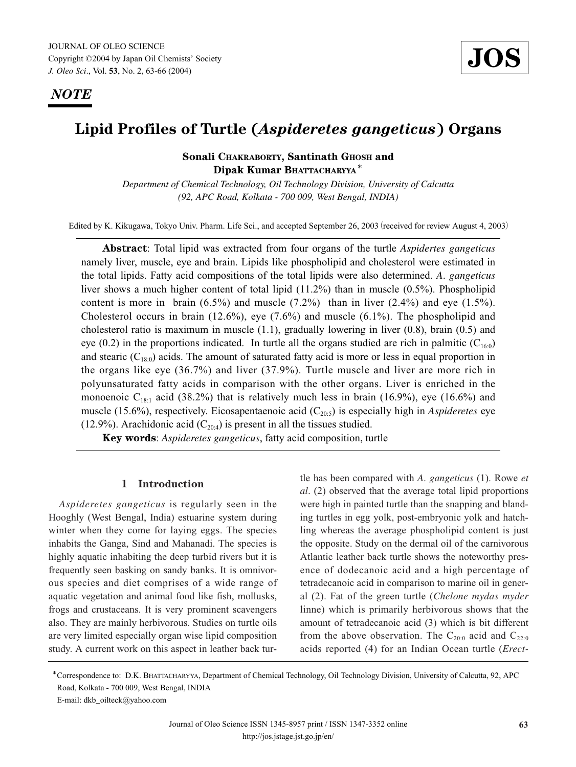*NOTE*

# **Lipid Profiles of Turtle (***Aspideretes gangeticus***) Organs**

## **Sonali CHAKRABORTY, Santinath GHOSH and Dipak Kumar BHATTACHARYYA**\*

*Department of Chemical Technology, Oil Technology Division, University of Calcutta (92, APC Road, Kolkata - 700 009, West Bengal, INDIA)*

Edited by K. Kikugawa, Tokyo Univ. Pharm. Life Sci., and accepted September 26, 2003 (received for review August 4, 2003)

**Abstract**: Total lipid was extracted from four organs of the turtle *Aspidertes gangeticus* namely liver, muscle, eye and brain. Lipids like phospholipid and cholesterol were estimated in the total lipids. Fatty acid compositions of the total lipids were also determined. *A*. *gangeticus* liver shows a much higher content of total lipid (11.2%) than in muscle (0.5%). Phospholipid content is more in brain  $(6.5\%)$  and muscle  $(7.2\%)$  than in liver  $(2.4\%)$  and eye  $(1.5\%)$ . Cholesterol occurs in brain (12.6%), eye (7.6%) and muscle (6.1%). The phospholipid and cholesterol ratio is maximum in muscle  $(1.1)$ , gradually lowering in liver  $(0.8)$ , brain  $(0.5)$  and eye (0.2) in the proportions indicated. In turtle all the organs studied are rich in palmitic ( $C_{16:0}$ ) and stearic  $(C_{18:0})$  acids. The amount of saturated fatty acid is more or less in equal proportion in the organs like eye (36.7%) and liver (37.9%). Turtle muscle and liver are more rich in polyunsaturated fatty acids in comparison with the other organs. Liver is enriched in the monoenoic  $C_{18:1}$  acid (38.2%) that is relatively much less in brain (16.9%), eye (16.6%) and muscle (15.6%), respectively. Eicosapentaenoic acid  $(C_{20:5})$  is especially high in *Aspideretes* eye (12.9%). Arachidonic acid  $(C_{20:4})$  is present in all the tissues studied.

**Key words**: *Aspideretes gangeticus*, fatty acid composition, turtle

#### **1 Introduction**

*Aspideretes gangeticus* is regularly seen in the Hooghly (West Bengal, India) estuarine system during winter when they come for laying eggs. The species inhabits the Ganga, Sind and Mahanadi. The species is highly aquatic inhabiting the deep turbid rivers but it is frequently seen basking on sandy banks. It is omnivorous species and diet comprises of a wide range of aquatic vegetation and animal food like fish, mollusks, frogs and crustaceans. It is very prominent scavengers also. They are mainly herbivorous. Studies on turtle oils are very limited especially organ wise lipid composition study. A current work on this aspect in leather back turtle has been compared with *A*. *gangeticus* (1). Rowe *et al*. (2) observed that the average total lipid proportions were high in painted turtle than the snapping and blanding turtles in egg yolk, post-embryonic yolk and hatchling whereas the average phospholipid content is just the opposite. Study on the dermal oil of the carnivorous Atlantic leather back turtle shows the noteworthy presence of dodecanoic acid and a high percentage of tetradecanoic acid in comparison to marine oil in general (2). Fat of the green turtle (*Chelone mydas myder* linne) which is primarily herbivorous shows that the amount of tetradecanoic acid (3) which is bit different from the above observation. The  $C_{20:0}$  acid and  $C_{22:0}$ acids reported (4) for an Indian Ocean turtle (*Erect-*

<sup>\*</sup>Correspondence to: D.K. BHATTACHARYYA, Department of Chemical Technology, Oil Technology Division, University of Calcutta, 92, APC Road, Kolkata - 700 009, West Bengal, INDIA

E-mail: dkb\_oilteck@yahoo.com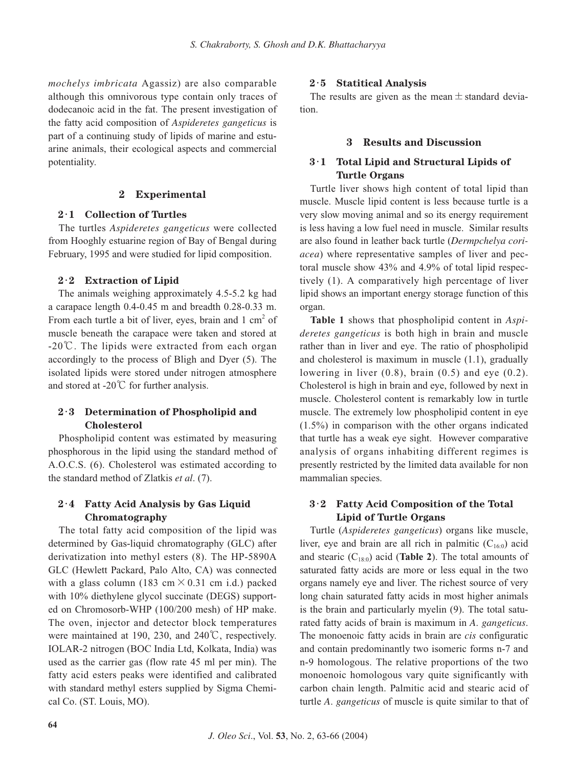*mochelys imbricata* Agassiz) are also comparable although this omnivorous type contain only traces of dodecanoic acid in the fat. The present investigation of the fatty acid composition of *Aspideretes gangeticus* is part of a continuing study of lipids of marine and estuarine animals, their ecological aspects and commercial potentiality.

#### **2 Experimental**

### **2**・**1 Collection of Turtles**

The turtles *Aspideretes gangeticus* were collected from Hooghly estuarine region of Bay of Bengal during February, 1995 and were studied for lipid composition.

### **2**・**2 Extraction of Lipid**

The animals weighing approximately 4.5-5.2 kg had a carapace length 0.4-0.45 m and breadth 0.28-0.33 m. From each turtle a bit of liver, eyes, brain and  $1 \text{ cm}^2$  of muscle beneath the carapace were taken and stored at -20℃. The lipids were extracted from each organ accordingly to the process of Bligh and Dyer (5). The isolated lipids were stored under nitrogen atmosphere and stored at -20℃ for further analysis.

## **2**・**3 Determination of Phospholipid and Cholesterol**

Phospholipid content was estimated by measuring phosphorous in the lipid using the standard method of A.O.C.S. (6). Cholesterol was estimated according to the standard method of Zlatkis *et al*. (7).

### **2**・**4 Fatty Acid Analysis by Gas Liquid Chromatography**

The total fatty acid composition of the lipid was determined by Gas-liquid chromatography (GLC) after derivatization into methyl esters (8). The HP-5890A GLC (Hewlett Packard, Palo Alto, CA) was connected with a glass column (183 cm  $\times$  0.31 cm i.d.) packed with 10% diethylene glycol succinate (DEGS) supported on Chromosorb-WHP (100/200 mesh) of HP make. The oven, injector and detector block temperatures were maintained at 190, 230, and 240℃, respectively. IOLAR-2 nitrogen (BOC India Ltd, Kolkata, India) was used as the carrier gas (flow rate 45 ml per min). The fatty acid esters peaks were identified and calibrated with standard methyl esters supplied by Sigma Chemical Co. (ST. Louis, MO).

### **2**・**5 Statitical Analysis**

The results are given as the mean  $\pm$  standard deviation.

#### **3 Results and Discussion**

## **3**・**1 Total Lipid and Structural Lipids of Turtle Organs**

Turtle liver shows high content of total lipid than muscle. Muscle lipid content is less because turtle is a very slow moving animal and so its energy requirement is less having a low fuel need in muscle. Similar results are also found in leather back turtle (*Dermpchelya coriacea*) where representative samples of liver and pectoral muscle show 43% and 4.9% of total lipid respectively (1). A comparatively high percentage of liver lipid shows an important energy storage function of this organ.

**Table 1** shows that phospholipid content in *Aspideretes gangeticus* is both high in brain and muscle rather than in liver and eye. The ratio of phospholipid and cholesterol is maximum in muscle (1.1), gradually lowering in liver  $(0.8)$ , brain  $(0.5)$  and eye  $(0.2)$ . Cholesterol is high in brain and eye, followed by next in muscle. Cholesterol content is remarkably low in turtle muscle. The extremely low phospholipid content in eye (1.5%) in comparison with the other organs indicated that turtle has a weak eye sight. However comparative analysis of organs inhabiting different regimes is presently restricted by the limited data available for non mammalian species.

## **3**・**2 Fatty Acid Composition of the Total Lipid of Turtle Organs**

Turtle (*Aspideretes gangeticus*) organs like muscle, liver, eye and brain are all rich in palmitic  $(C_{16:0})$  acid and stearic  $(C_{18:0})$  acid (**Table 2**). The total amounts of saturated fatty acids are more or less equal in the two organs namely eye and liver. The richest source of very long chain saturated fatty acids in most higher animals is the brain and particularly myelin (9). The total saturated fatty acids of brain is maximum in *A*. *gangeticus*. The monoenoic fatty acids in brain are *cis* configuratic and contain predominantly two isomeric forms n-7 and n-9 homologous. The relative proportions of the two monoenoic homologous vary quite significantly with carbon chain length. Palmitic acid and stearic acid of turtle *A*. *gangeticus* of muscle is quite similar to that of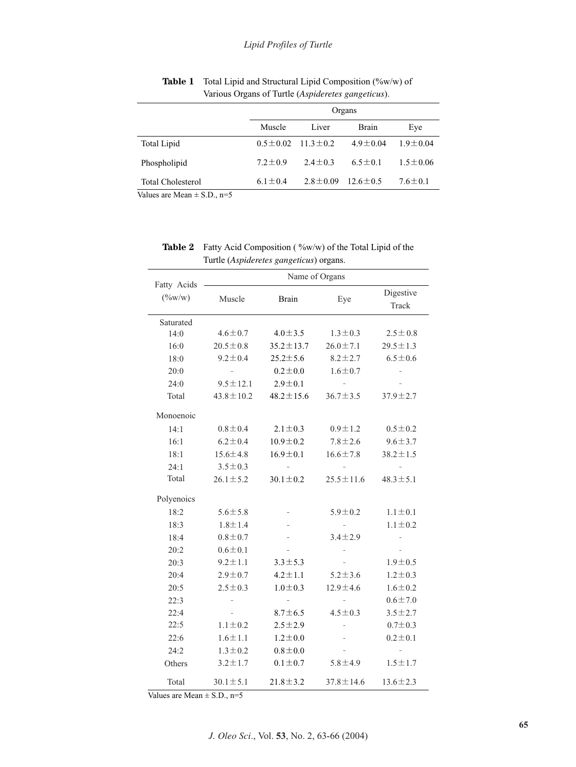|                          | Organs        |                               |                |                |  |
|--------------------------|---------------|-------------------------------|----------------|----------------|--|
|                          | Muscle        | Liver                         | <b>Brain</b>   | Eye            |  |
| <b>Total Lipid</b>       |               | $0.5 \pm 0.02$ 11.3 $\pm$ 0.2 | $4.9 \pm 0.04$ | $1.9 \pm 0.04$ |  |
| Phospholipid             | $7.2 + 0.9$   | $2.4 \pm 0.3$                 | $6.5 \pm 0.1$  | $1.5 \pm 0.06$ |  |
| <b>Total Cholesterol</b> | $6.1 \pm 0.4$ | $2.8 \pm 0.09$                | $12.6 \pm 0.5$ | $7.6 \pm 0.1$  |  |

Table 1 Total Lipid and Structural Lipid Composition (%w/w) of Various Organs of Turtle (*Aspideretes gangeticus*).

Values are Mean  $\pm$  S.D., n=5

Table 2 Fatty Acid Composition (%w/w) of the Total Lipid of the Turtle (*Aspideretes gangeticus*) organs.

|                          | Name of Organs  |                          |                 |                    |  |
|--------------------------|-----------------|--------------------------|-----------------|--------------------|--|
| Fatty Acids<br>$(\%w/w)$ | Muscle          | <b>Brain</b>             | Eye             | Digestive<br>Track |  |
| Saturated                |                 |                          |                 |                    |  |
| 14:0                     | $4.6 \pm 0.7$   | $4.0 \pm 3.5$            | $1.3 \pm 0.3$   | $2.5 \pm 0.8$      |  |
| 16:0                     | $20.5 \pm 0.8$  | $35.2 \pm 13.7$          | $26.0 \pm 7.1$  | $29.5 \pm 1.3$     |  |
| 18:0                     | $9.2 \pm 0.4$   | $25.2 \pm 5.6$           | $8.2 \pm 2.7$   | $6.5 \pm 0.6$      |  |
| 20:0                     |                 | $0.2 \pm 0.0$            | $1.6 \pm 0.7$   |                    |  |
| 24:0                     | $9.5 \pm 12.1$  | $2.9 \pm 0.1$            |                 |                    |  |
| Total                    | $43.8 \pm 10.2$ | $48.2 \pm 15.6$          | $36.7 \pm 3.5$  | $37.9 \pm 2.7$     |  |
| Monoenoic                |                 |                          |                 |                    |  |
| 14:1                     | $0.8 \pm 0.4$   | $2.1 \pm 0.3$            | $0.9 \pm 1.2$   | $0.5 \pm 0.2$      |  |
| 16:1                     | $6.2 \pm 0.4$   | $10.9 \pm 0.2$           | $7.8 \pm 2.6$   | $9.6 \pm 3.7$      |  |
| 18:1                     | $15.6 \pm 4.8$  | $16.9 \pm 0.1$           | $16.6 \pm 7.8$  | $38.2 \pm 1.5$     |  |
| 24:1                     | $3.5 \pm 0.3$   |                          |                 |                    |  |
| Total                    | $26.1 \pm 5.2$  | $30.1 \pm 0.2$           | $25.5 \pm 11.6$ | $48.3 \pm 5.1$     |  |
| Polyenoics               |                 |                          |                 |                    |  |
| 18:2                     | $5.6 + 5.8$     | $\overline{\phantom{0}}$ | $5.9 \pm 0.2$   | $1.1 \pm 0.1$      |  |
| 18:3                     | $1.8 \pm 1.4$   |                          |                 | $1.1 \pm 0.2$      |  |
| 18:4                     | $0.8 + 0.7$     |                          | $3.4 \pm 2.9$   |                    |  |
| 20:2                     | $0.6 \pm 0.1$   |                          |                 |                    |  |
| 20:3                     | $9.2 \pm 1.1$   | $3.3 \pm 5.3$            |                 | $1.9 \pm 0.5$      |  |
| 20:4                     | $2.9 \pm 0.7$   | $4.2 \pm 1.1$            | $5.2 \pm 3.6$   | $1.2 \pm 0.3$      |  |
| 20:5                     | $2.5 \pm 0.3$   | $1.0 \pm 0.3$            | $12.9 \pm 4.6$  | $1.6 \pm 0.2$      |  |
| 22:3                     |                 |                          |                 | $0.6 + 7.0$        |  |
| 22:4                     |                 | $8.7 \pm 6.5$            | $4.5 \pm 0.3$   | $3.5 \pm 2.7$      |  |
| 22:5                     | $1.1 \pm 0.2$   | $2.5 \pm 2.9$            |                 | $0.7 + 0.3$        |  |
| 22:6                     | $1.6 \pm 1.1$   | $1.2 \pm 0.0$            |                 | $0.2 \pm 0.1$      |  |
| 24:2                     | $1.3 \pm 0.2$   | $0.8 + 0.0$              |                 |                    |  |
| Others                   | $3.2 \pm 1.7$   | $0.1 \pm 0.7$            | $5.8 \pm 4.9$   | $1.5 \pm 1.7$      |  |
| Total                    | $30.1 \pm 5.1$  | $21.8 \pm 3.2$           | $37.8 \pm 14.6$ | $13.6 \pm 2.3$     |  |

Values are Mean  $\pm$  S.D., n=5